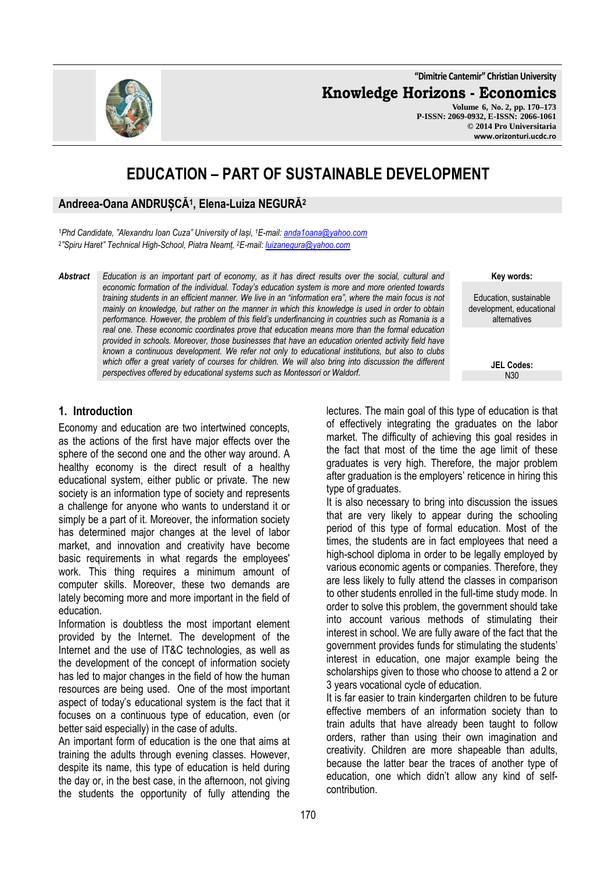**"Dimitrie Cantemir" Christian University**

**Knowledge Horizons - Economics**

**Volume 6, No. 2, pp. 170–173 P-ISSN: 2069-0932, E-ISSN: 2066-1061 © 2014 Pro Universitaria www.orizonturi.ucdc.ro**

# **EDUCATION – PART OF SUSTAINABLE DEVELOPMENT**

### **Andreea-Oana ANDRUȘCĂ<sup>1</sup> , Elena-Luiza NEGURĂ<sup>2</sup>**

<sup>1</sup>*Phd Candidate, "Alexandru Ioan Cuza" University of Iași, <sup>1</sup>E-mail: anda1oana@yahoo.com* 2 *"Spiru Haret" Technical High-School, Piatra Neamț, <sup>2</sup>E-mail: luizanegura@yahoo.com*

*Abstract Education is an important part of economy, as it has direct results over the social, cultural and economic formation of the individual. Today's education system is more and more oriented towards training students in an efficient manner. We live in an "information era", where the main focus is not mainly on knowledge, but rather on the manner in which this knowledge is used in order to obtain performance. However, the problem of this field's underfinancing in countries such as Romania is a real one. These economic coordinates prove that education means more than the formal education provided in schools. Moreover, those businesses that have an education oriented activity field have known a continuous development. We refer not only to educational institutions, but also to clubs which offer a great variety of courses for children. We will also bring into discussion the different perspectives offered by educational systems such as Montessori or Waldorf.*

#### **1. Introduction**

Economy and education are two intertwined concepts, as the actions of the first have major effects over the sphere of the second one and the other way around. A healthy economy is the direct result of a healthy educational system, either public or private. The new society is an information type of society and represents a challenge for anyone who wants to understand it or simply be a part of it. Moreover, the information society has determined major changes at the level of labor market, and innovation and creativity have become basic requirements in what regards the employees′ work. This thing requires a minimum amount of computer skills. Moreover, these two demands are lately becoming more and more important in the field of education.

Information is doubtless the most important element provided by the Internet. The development of the Internet and the use of IT&C technologies, as well as the development of the concept of information society has led to major changes in the field of how the human resources are being used. One of the most important aspect of today's educational system is the fact that it focuses on a continuous type of education, even (or better said especially) in the case of adults.

An important form of education is the one that aims at training the adults through evening classes. However, despite its name, this type of education is held during the day or, in the best case, in the afternoon, not giving the students the opportunity of fully attending the

**Key words:**

Education, sustainable development, educational alternatives

> **JEL Codes:** N30

lectures. The main goal of this type of education is that of effectively integrating the graduates on the labor market. The difficulty of achieving this goal resides in the fact that most of the time the age limit of these graduates is very high. Therefore, the major problem after graduation is the employers' reticence in hiring this type of graduates.

It is also necessary to bring into discussion the issues that are very likely to appear during the schooling period of this type of formal education. Most of the times, the students are in fact employees that need a high-school diploma in order to be legally employed by various economic agents or companies. Therefore, they are less likely to fully attend the classes in comparison to other students enrolled in the full-time study mode. In order to solve this problem, the government should take into account various methods of stimulating their interest in school. We are fully aware of the fact that the government provides funds for stimulating the students' interest in education, one major example being the scholarships given to those who choose to attend a 2 or 3 years vocational cycle of education.

It is far easier to train kindergarten children to be future effective members of an information society than to train adults that have already been taught to follow orders, rather than using their own imagination and creativity. Children are more shapeable than adults, because the latter bear the traces of another type of education, one which didn't allow any kind of selfcontribution.

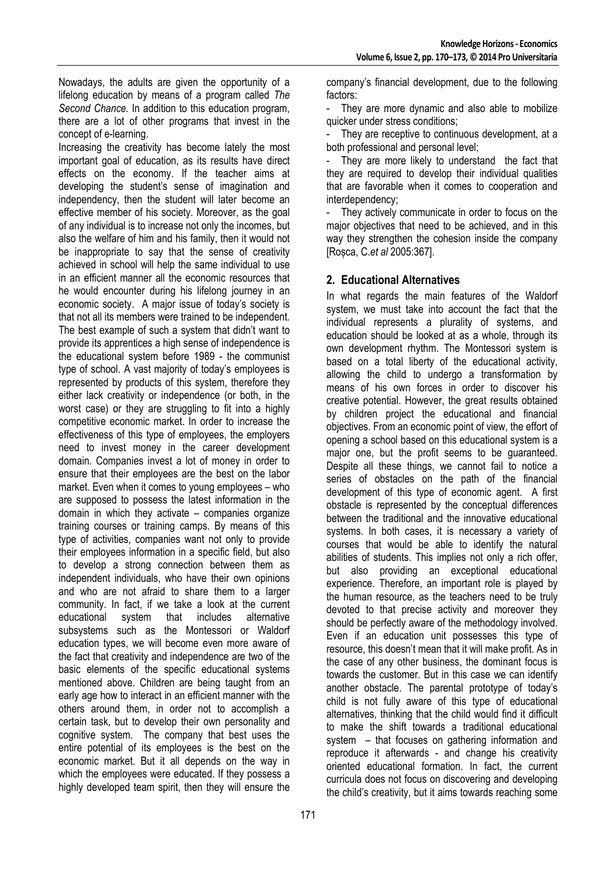Nowadays, the adults are given the opportunity of a lifelong education by means of a program called *The Second Chance.* In addition to this education program, there are a lot of other programs that invest in the concept of e-learning.

Increasing the creativity has become lately the most important goal of education, as its results have direct effects on the economy. If the teacher aims at developing the student's sense of imagination and independency, then the student will later become an effective member of his society. Moreover, as the goal of any individual is to increase not only the incomes, but also the welfare of him and his family, then it would not be inappropriate to say that the sense of creativity achieved in school will help the same individual to use in an efficient manner all the economic resources that he would encounter during his lifelong journey in an economic society. A major issue of today's society is that not all its members were trained to be independent. The best example of such a system that didn't want to provide its apprentices a high sense of independence is the educational system before 1989 - the communist type of school. A vast majority of today's employees is represented by products of this system, therefore they either lack creativity or independence (or both, in the worst case) or they are struggling to fit into a highly competitive economic market. In order to increase the effectiveness of this type of employees, the employers need to invest money in the career development domain. Companies invest a lot of money in order to ensure that their employees are the best on the labor market. Even when it comes to young employees – who are supposed to possess the latest information in the domain in which they activate – companies organize training courses or training camps. By means of this type of activities, companies want not only to provide their employees information in a specific field, but also to develop a strong connection between them as independent individuals, who have their own opinions and who are not afraid to share them to a larger community. In fact, if we take a look at the current educational system that includes alternative that includes alternative subsystems such as the Montessori or Waldorf education types, we will become even more aware of the fact that creativity and independence are two of the basic elements of the specific educational systems mentioned above. Children are being taught from an early age how to interact in an efficient manner with the others around them, in order not to accomplish a certain task, but to develop their own personality and cognitive system. The company that best uses the entire potential of its employees is the best on the economic market. But it all depends on the way in which the employees were educated. If they possess a highly developed team spirit, then they will ensure the

company's financial development, due to the following factors:

- They are more dynamic and also able to mobilize quicker under stress conditions;

They are receptive to continuous development, at a both professional and personal level;

They are more likely to understand the fact that they are required to develop their individual qualities that are favorable when it comes to cooperation and interdependency;

They actively communicate in order to focus on the major objectives that need to be achieved, and in this way they strengthen the cohesion inside the company [Roșca, C.*et al* 2005:367].

#### **2. Educational Alternatives**

In what regards the main features of the Waldorf system, we must take into account the fact that the individual represents a plurality of systems, and education should be looked at as a whole, through its own development rhythm. The Montessori system is based on a total liberty of the educational activity, allowing the child to undergo a transformation by means of his own forces in order to discover his creative potential. However, the great results obtained by children project the educational and financial objectives. From an economic point of view, the effort of opening a school based on this educational system is a major one, but the profit seems to be guaranteed. Despite all these things, we cannot fail to notice a series of obstacles on the path of the financial development of this type of economic agent. A first obstacle is represented by the conceptual differences between the traditional and the innovative educational systems. In both cases, it is necessary a variety of courses that would be able to identify the natural abilities of students. This implies not only a rich offer, but also providing an exceptional educational experience. Therefore, an important role is played by the human resource, as the teachers need to be truly devoted to that precise activity and moreover they should be perfectly aware of the methodology involved. Even if an education unit possesses this type of resource, this doesn't mean that it will make profit. As in the case of any other business, the dominant focus is towards the customer. But in this case we can identify another obstacle. The parental prototype of today's child is not fully aware of this type of educational alternatives, thinking that the child would find it difficult to make the shift towards a traditional educational system – that focuses on gathering information and reproduce it afterwards - and change his creativity oriented educational formation. In fact, the current curricula does not focus on discovering and developing the child's creativity, but it aims towards reaching some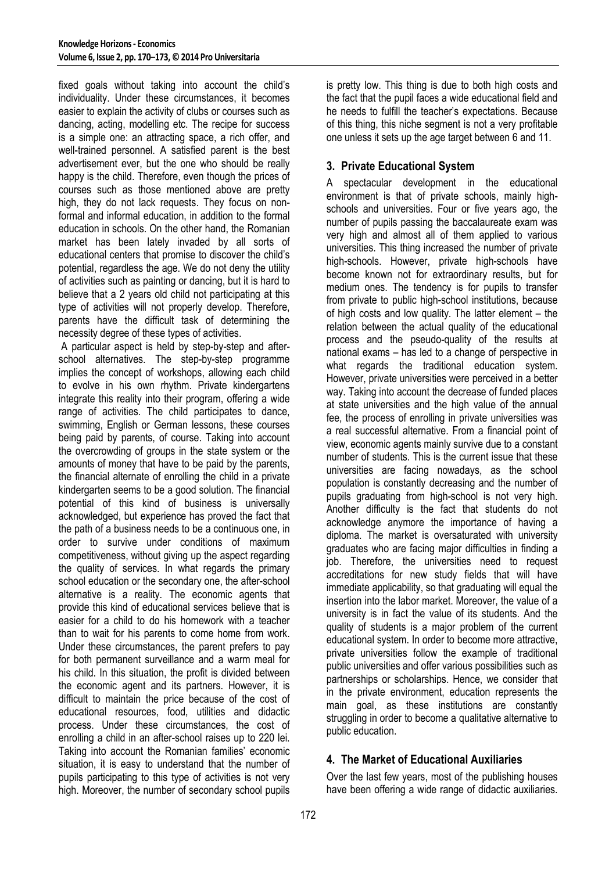fixed goals without taking into account the child's individuality. Under these circumstances, it becomes easier to explain the activity of clubs or courses such as dancing, acting, modelling etc. The recipe for success is a simple one: an attracting space, a rich offer, and well-trained personnel. A satisfied parent is the best advertisement ever, but the one who should be really happy is the child. Therefore, even though the prices of courses such as those mentioned above are pretty high, they do not lack requests. They focus on nonformal and informal education, in addition to the formal education in schools. On the other hand, the Romanian market has been lately invaded by all sorts of educational centers that promise to discover the child's potential, regardless the age. We do not deny the utility of activities such as painting or dancing, but it is hard to believe that a 2 years old child not participating at this type of activities will not properly develop. Therefore, parents have the difficult task of determining the necessity degree of these types of activities.

 A particular aspect is held by step-by-step and afterschool alternatives. The step-by-step programme implies the concept of workshops, allowing each child to evolve in his own rhythm. Private kindergartens integrate this reality into their program, offering a wide range of activities. The child participates to dance, swimming, English or German lessons, these courses being paid by parents, of course. Taking into account the overcrowding of groups in the state system or the amounts of money that have to be paid by the parents, the financial alternate of enrolling the child in a private kindergarten seems to be a good solution. The financial potential of this kind of business is universally acknowledged, but experience has proved the fact that the path of a business needs to be a continuous one, in order to survive under conditions of maximum competitiveness, without giving up the aspect regarding the quality of services. In what regards the primary school education or the secondary one, the after-school alternative is a reality. The economic agents that provide this kind of educational services believe that is easier for a child to do his homework with a teacher than to wait for his parents to come home from work. Under these circumstances, the parent prefers to pay for both permanent surveillance and a warm meal for his child. In this situation, the profit is divided between the economic agent and its partners. However, it is difficult to maintain the price because of the cost of educational resources, food, utilities and didactic process. Under these circumstances, the cost of enrolling a child in an after-school raises up to 220 lei. Taking into account the Romanian families' economic situation, it is easy to understand that the number of pupils participating to this type of activities is not very high. Moreover, the number of secondary school pupils

is pretty low. This thing is due to both high costs and the fact that the pupil faces a wide educational field and he needs to fulfill the teacher's expectations. Because of this thing, this niche segment is not a very profitable one unless it sets up the age target between 6 and 11.

#### **3. Private Educational System**

A spectacular development in the educational environment is that of private schools, mainly highschools and universities. Four or five years ago, the number of pupils passing the baccalaureate exam was very high and almost all of them applied to various universities. This thing increased the number of private high-schools. However, private high-schools have become known not for extraordinary results, but for medium ones. The tendency is for pupils to transfer from private to public high-school institutions, because of high costs and low quality. The latter element – the relation between the actual quality of the educational process and the pseudo-quality of the results at national exams – has led to a change of perspective in what regards the traditional education system. However, private universities were perceived in a better way. Taking into account the decrease of funded places at state universities and the high value of the annual fee, the process of enrolling in private universities was a real successful alternative. From a financial point of view, economic agents mainly survive due to a constant number of students. This is the current issue that these universities are facing nowadays, as the school population is constantly decreasing and the number of pupils graduating from high-school is not very high. Another difficulty is the fact that students do not acknowledge anymore the importance of having a diploma. The market is oversaturated with university graduates who are facing major difficulties in finding a job. Therefore, the universities need to request accreditations for new study fields that will have immediate applicability, so that graduating will equal the insertion into the labor market. Moreover, the value of a university is in fact the value of its students. And the quality of students is a major problem of the current educational system. In order to become more attractive, private universities follow the example of traditional public universities and offer various possibilities such as partnerships or scholarships. Hence, we consider that in the private environment, education represents the main goal, as these institutions are constantly struggling in order to become a qualitative alternative to public education.

## **4. The Market of Educational Auxiliaries**

Over the last few years, most of the publishing houses have been offering a wide range of didactic auxiliaries.